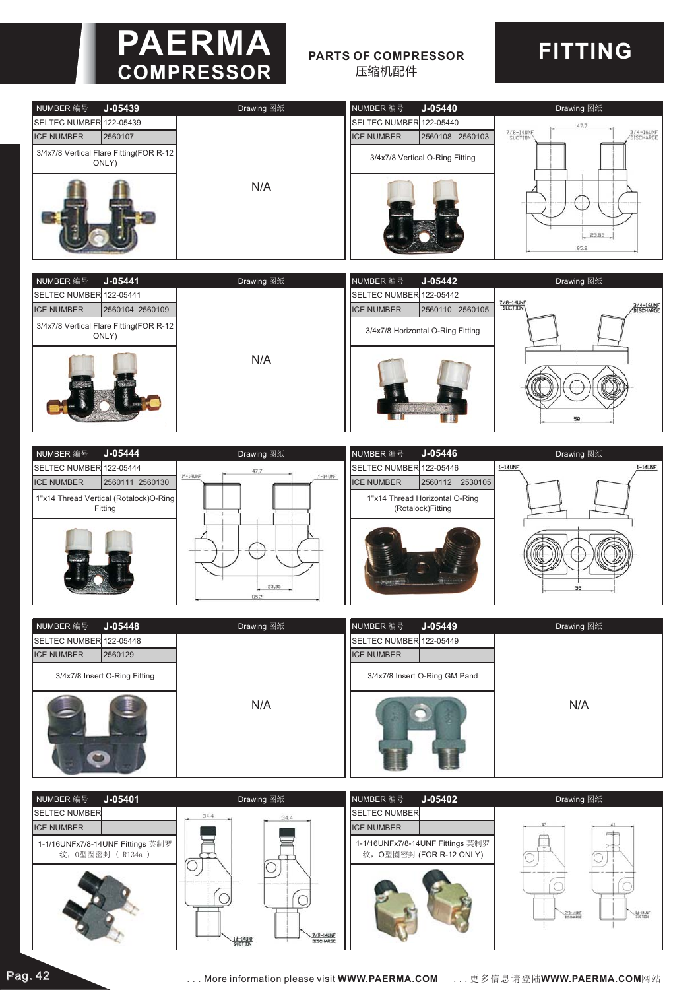

## **PARTS OF COMPRESSOR** 压缩机配件

## **FITTING**







| NUMBER 编号                     | $J - 05448$ | Drawing 图纸 | NUMBER 编号                     | $J - 05449$ | Drawing 图纸 |
|-------------------------------|-------------|------------|-------------------------------|-------------|------------|
| SELTEC NUMBER 122-05448       |             |            | SELTEC NUMBER 122-05449       |             |            |
| <b>ICE NUMBER</b>             | 2560129     |            | <b>ICE NUMBER</b>             |             |            |
| 3/4x7/8 Insert O-Ring Fitting |             |            | 3/4x7/8 Insert O-Ring GM Pand |             | N/A        |
| 5<br>ш                        |             | N/A        |                               |             |            |

| $J - 05401$<br>NUMBER 编号                             | Drawing 图纸                        | $J-05402$<br>NUMBER 编号                                       | Drawing 图纸                  |
|------------------------------------------------------|-----------------------------------|--------------------------------------------------------------|-----------------------------|
| <b>SELTEC NUMBER</b>                                 | 34.4<br>34.4                      | <b>SELTEC NUMBER</b>                                         |                             |
| <b>ICE NUMBER</b>                                    |                                   | <b>ICE NUMBER</b>                                            |                             |
| 1-1/16UNFx7/8-14UNF Fittings 英制罗<br>纹, 0型圈密封 (R134a) | 7/8-14UNF<br>1-14UNF<br>DISCHARGE | 1-1/16UNFx7/8-14UNF Fittings 英制罗<br>纹, O型圈密封 (FOR R-12 ONLY) | <b>MALLANT</b><br>7/8-14LNF |